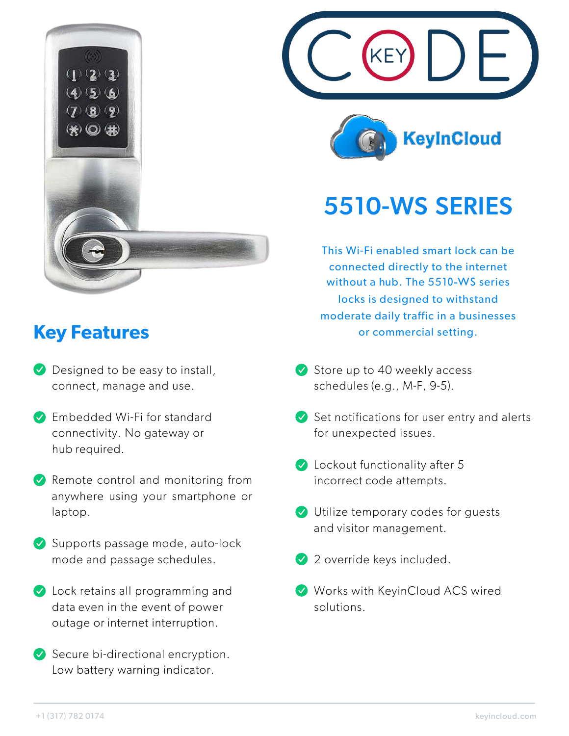

## **Key Features**

- **Designed to be easy to install,** connect, manage and use.
- **Embedded Wi-Fi for standard** connectivity. No gateway or hub required.
- $\vee$  Remote control and monitoring from anywhere using your smartphone or laptop.
- Supports passage mode, auto-lock mode and passage schedules.
- **V** Lock retains all programming and data even in the event of power outage or internet interruption.
- $\vee$  Secure bi-directional encryption. Low battery warning indicator.





## 5510-WS SERIES

This Wi-Fi enabled smart lock can be connected directly to the internet without a hub. The 5510-WS series locks is designed to withstand moderate daily traffic in a businesses or commercial setting.

- $\vee$  Store up to 40 weekly access schedules (e.g., M-F, 9-5).
- $\blacktriangleright$  Set notifications for user entry and alerts for unexpected issues.
- Cockout functionality after 5 incorrect code attempts.
- Utilize temporary codes for guests and visitor management.
- 2 override keys included.
- Works with KeyinCloud ACS wired solutions.